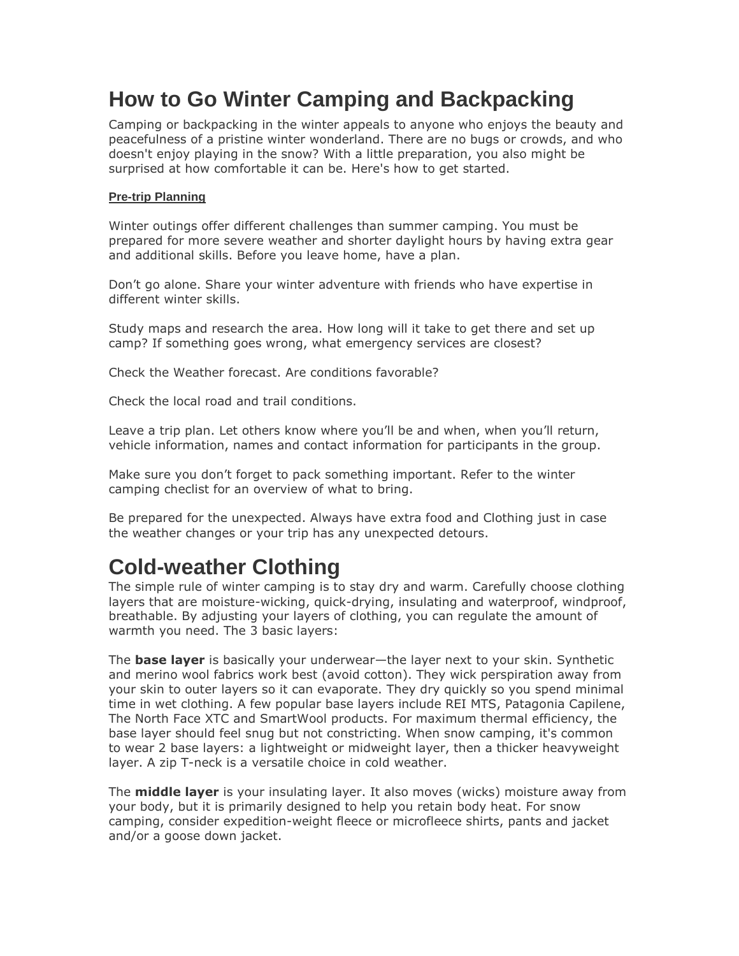# **How to Go Winter Camping and Backpacking**

Camping or backpacking in the winter appeals to anyone who enjoys the beauty and peacefulness of a pristine winter wonderland. There are no bugs or crowds, and who doesn't enjoy playing in the snow? With a little preparation, you also might be surprised at how comfortable it can be. Here's how to get started.

## **Pre-trip Planning**

Winter outings offer different challenges than summer camping. You must be prepared for more severe weather and shorter daylight hours by having extra gear and additional skills. Before you leave home, have a plan.

Don't go alone. Share your winter adventure with friends who have expertise in different winter skills.

Study maps and research the area. How long will it take to get there and set up camp? If something goes wrong, what emergency services are closest?

Check the Weather forecast. Are conditions favorable?

Check the local road and trail conditions.

Leave a trip plan. Let others know where you'll be and when, when you'll return, vehicle information, names and contact information for participants in the group.

Make sure you don't forget to pack something important. Refer to the winter camping checlist for an overview of what to bring.

Be prepared for the unexpected. Always have extra food and Clothing just in case the weather changes or your trip has any unexpected detours.

# **Cold-weather Clothing**

The simple rule of winter camping is to stay dry and warm. Carefully choose clothing layers that are moisture-wicking, quick-drying, insulating and waterproof, windproof, breathable. By adjusting your layers of clothing, you can regulate the amount of warmth you need. The 3 basic layers:

The **base layer** is basically your underwear—the layer next to your skin. Synthetic and merino wool fabrics work best (avoid cotton). They wick perspiration away from your skin to outer layers so it can evaporate. They dry quickly so you spend minimal time in wet clothing. A few popular base layers include REI MTS, Patagonia Capilene, The North Face XTC and SmartWool products. For maximum thermal efficiency, the base layer should feel snug but not constricting. When snow camping, it's common to wear 2 base layers: a lightweight or midweight layer, then a thicker heavyweight layer. A zip T-neck is a versatile choice in cold weather.

The **middle layer** is your insulating layer. It also moves (wicks) moisture away from your body, but it is primarily designed to help you retain body heat. For snow camping, consider expedition-weight fleece or microfleece shirts, pants and jacket and/or a goose down jacket.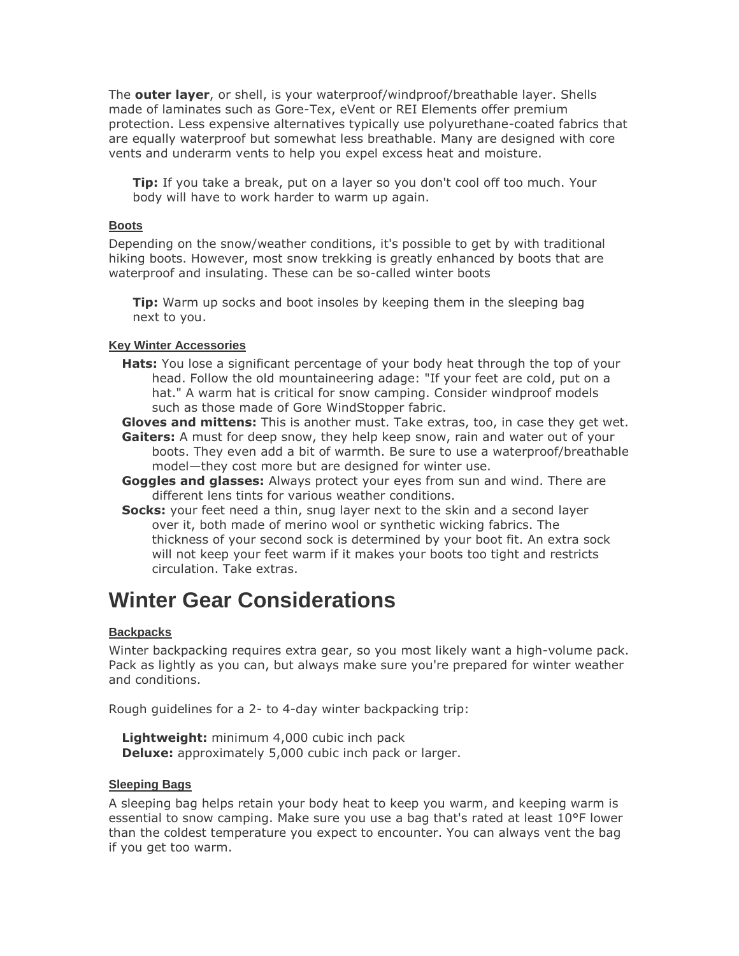The **outer layer**, or shell, is your waterproof/windproof/breathable layer. Shells made of laminates such as Gore-Tex, eVent or REI Elements offer premium protection. Less expensive alternatives typically use polyurethane-coated fabrics that are equally waterproof but somewhat less breathable. Many are designed with core vents and underarm vents to help you expel excess heat and moisture.

**Tip:** If you take a break, put on a layer so you don't cool off too much. Your body will have to work harder to warm up again.

## **Boots**

Depending on the snow/weather conditions, it's possible to get by with traditional hiking boots. However, most snow trekking is greatly enhanced by boots that are waterproof and insulating. These can be so-called winter boots

**Tip:** Warm up socks and boot insoles by keeping them in the sleeping bag next to you.

## **Key Winter Accessories**

**Hats:** You lose a significant percentage of your body heat through the top of your head. Follow the old mountaineering adage: "If your feet are cold, put on a hat." A warm hat is critical for snow camping. Consider windproof models such as those made of Gore WindStopper fabric.

**Gloves and mittens:** This is another must. Take extras, too, in case they get wet.

- **Gaiters:** A must for deep snow, they help keep snow, rain and water out of your boots. They even add a bit of warmth. Be sure to use a waterproof/breathable model—they cost more but are designed for winter use.
- **Goggles and glasses:** Always protect your eyes from sun and wind. There are different lens tints for various weather conditions.
- **Socks:** your feet need a thin, snug layer next to the skin and a second layer over it, both made of merino wool or synthetic wicking fabrics. The thickness of your second sock is determined by your boot fit. An extra sock will not keep your feet warm if it makes your boots too tight and restricts circulation. Take extras.

## **Winter Gear Considerations**

## **Backpacks**

Winter backpacking requires extra gear, so you most likely want a high-volume pack. Pack as lightly as you can, but always make sure you're prepared for winter weather and conditions.

Rough guidelines for a 2- to 4-day winter backpacking trip:

**Lightweight:** minimum 4,000 cubic inch pack **Deluxe:** approximately 5,000 cubic inch pack or larger.

#### **Sleeping Bags**

A sleeping bag helps retain your body heat to keep you warm, and keeping warm is essential to snow camping. Make sure you use a bag that's rated at least 10°F lower than the coldest temperature you expect to encounter. You can always vent the bag if you get too warm.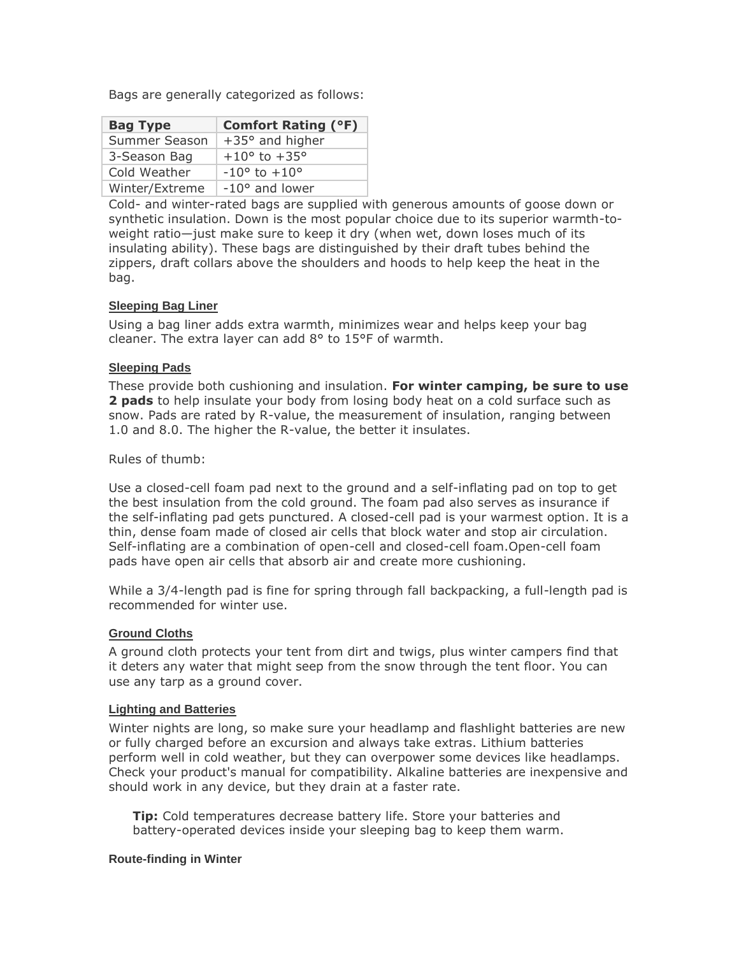Bags are generally categorized as follows:

| <b>Bag Type</b> | <b>Comfort Rating (°F)</b>     |
|-----------------|--------------------------------|
| Summer Season   | $+35^{\circ}$ and higher       |
| 3-Season Bag    | $+10^{\circ}$ to $+35^{\circ}$ |
| Cold Weather    | $-10^{\circ}$ to $+10^{\circ}$ |
| Winter/Extreme  | $-10^{\circ}$ and lower        |

Cold- and winter-rated bags are supplied with generous amounts of goose down or synthetic insulation. Down is the most popular choice due to its superior warmth-toweight ratio—just make sure to keep it dry (when wet, down loses much of its insulating ability). These bags are distinguished by their draft tubes behind the zippers, draft collars above the shoulders and hoods to help keep the heat in the bag.

## **Sleeping Bag Liner**

Using a bag liner adds extra warmth, minimizes wear and helps keep your bag cleaner. The extra layer can add 8° to 15°F of warmth.

## **Sleeping Pads**

These provide both cushioning and insulation. **For winter camping, be sure to use 2 pads** to help insulate your body from losing body heat on a cold surface such as snow. Pads are rated by R-value, the measurement of insulation, ranging between 1.0 and 8.0. The higher the R-value, the better it insulates.

## Rules of thumb:

Use a closed-cell foam pad next to the ground and a self-inflating pad on top to get the best insulation from the cold ground. The foam pad also serves as insurance if the self-inflating pad gets punctured. A closed-cell pad is your warmest option. It is a thin, dense foam made of closed air cells that block water and stop air circulation. Self-inflating are a combination of open-cell and closed-cell foam.Open-cell foam pads have open air cells that absorb air and create more cushioning.

While a 3/4-length pad is fine for spring through fall backpacking, a full-length pad is recommended for winter use.

## **Ground Cloths**

A ground cloth protects your tent from dirt and twigs, plus winter campers find that it deters any water that might seep from the snow through the tent floor. You can use any tarp as a ground cover.

#### **Lighting and Batteries**

Winter nights are long, so make sure your headlamp and flashlight batteries are new or fully charged before an excursion and always take extras. Lithium batteries perform well in cold weather, but they can overpower some devices like headlamps. Check your product's manual for compatibility. Alkaline batteries are inexpensive and should work in any device, but they drain at a faster rate.

**Tip:** Cold temperatures decrease battery life. Store your batteries and battery-operated devices inside your sleeping bag to keep them warm.

#### **Route-finding in Winter**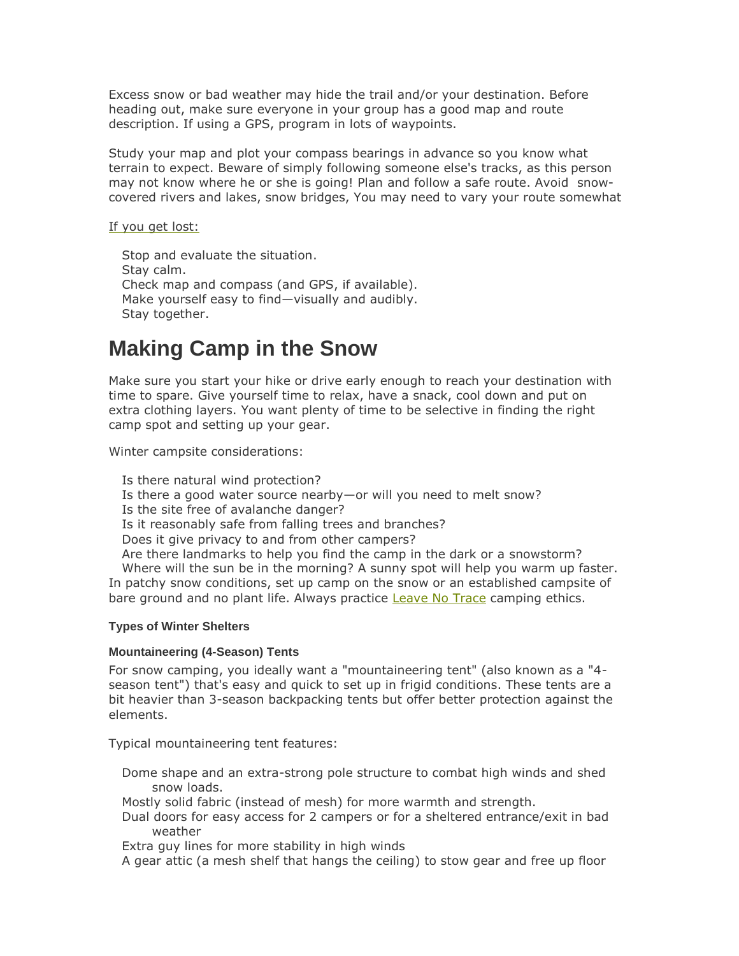Excess snow or bad weather may hide the trail and/or your destination. Before heading out, make sure everyone in your group has a good map and route description. If using a GPS, program in lots of waypoints.

Study your map and plot your compass bearings in advance so you know what terrain to expect. Beware of simply following someone else's tracks, as this person may not know where he or she is going! Plan and follow a safe route. Avoid snowcovered rivers and lakes, snow bridges, You may need to vary your route somewhat

If you get lost:

Stop and evaluate the situation. Stay calm. Check map and compass (and GPS, if available). Make yourself easy to find—visually and audibly. Stay together.

## **Making Camp in the Snow**

Make sure you start your hike or drive early enough to reach your destination with time to spare. Give yourself time to relax, have a snack, cool down and put on extra clothing layers. You want plenty of time to be selective in finding the right camp spot and setting up your gear.

Winter campsite considerations:

Is there natural wind protection? Is there a good water source nearby—or will you need to melt snow? Is the site free of avalanche danger? Is it reasonably safe from falling trees and branches? Does it give privacy to and from other campers? Are there landmarks to help you find the camp in the dark or a snowstorm? Where will the sun be in the morning? A sunny spot will help you warm up faster. In patchy snow conditions, set up camp on the snow or an established campsite of bare ground and no plant life. Always practice **Leave No Trace** camping ethics.

## **Types of Winter Shelters**

#### **Mountaineering (4-Season) Tents**

For snow camping, you ideally want a "mountaineering tent" (also known as a "4 season tent") that's easy and quick to set up in frigid conditions. These tents are a bit heavier than 3-season backpacking tents but offer better protection against the elements.

Typical mountaineering tent features:

Dome shape and an extra-strong pole structure to combat high winds and shed snow loads.

Mostly solid fabric (instead of mesh) for more warmth and strength.

Dual doors for easy access for 2 campers or for a sheltered entrance/exit in bad weather

Extra guy lines for more stability in high winds

A gear attic (a mesh shelf that hangs the ceiling) to stow gear and free up floor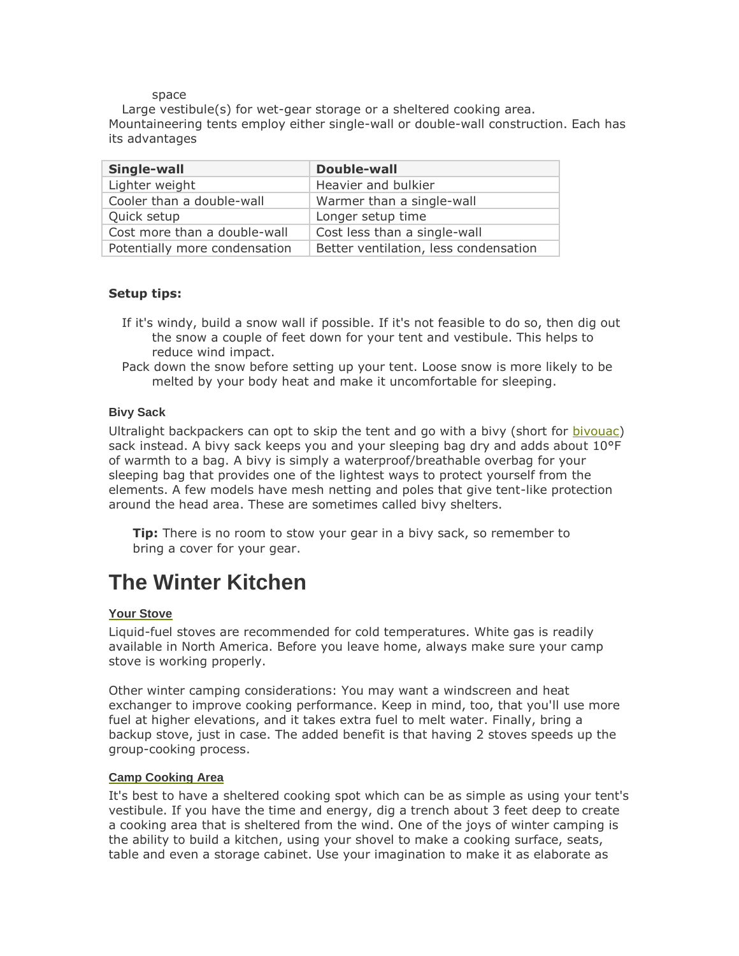#### space

Large vestibule(s) for wet-gear storage or a sheltered cooking area. Mountaineering tents employ either single-wall or double-wall construction. Each has its advantages

| Single-wall                   | Double-wall                           |
|-------------------------------|---------------------------------------|
| Lighter weight                | Heavier and bulkier                   |
| Cooler than a double-wall     | Warmer than a single-wall             |
| Quick setup                   | Longer setup time                     |
| Cost more than a double-wall  | Cost less than a single-wall          |
| Potentially more condensation | Better ventilation, less condensation |

## **Setup tips:**

- If it's windy, build a snow wall if possible. If it's not feasible to do so, then dig out the snow a couple of feet down for your tent and vestibule. This helps to reduce wind impact.
- Pack down the snow before setting up your tent. Loose snow is more likely to be melted by your body heat and make it uncomfortable for sleeping.

## **Bivy Sack**

Ultralight backpackers can opt to skip the tent and go with a bivy (short for [bivouac\)](http://www.rei.com/expertadvice/articles/bivy+sack.html) sack instead. A bivy sack keeps you and your sleeping bag dry and adds about 10°F of warmth to a bag. A bivy is simply a waterproof/breathable overbag for your sleeping bag that provides one of the lightest ways to protect yourself from the elements. A few models have mesh netting and poles that give tent-like protection around the head area. These are sometimes called bivy shelters.

**Tip:** There is no room to stow your gear in a bivy sack, so remember to bring a cover for your gear.

## **The Winter Kitchen**

#### **Your Stove**

Liquid-fuel stoves are recommended for cold temperatures. White gas is readily available in North America. Before you leave home, always make sure your camp stove is working properly.

Other winter camping considerations: You may want a windscreen and heat exchanger to improve cooking performance. Keep in mind, too, that you'll use more fuel at higher elevations, and it takes extra fuel to melt water. Finally, bring a backup stove, just in case. The added benefit is that having 2 stoves speeds up the group-cooking process.

#### **Camp Cooking Area**

It's best to have a sheltered cooking spot which can be as simple as using your tent's vestibule. If you have the time and energy, dig a trench about 3 feet deep to create a cooking area that is sheltered from the wind. One of the joys of winter camping is the ability to build a kitchen, using your shovel to make a cooking surface, seats, table and even a storage cabinet. Use your imagination to make it as elaborate as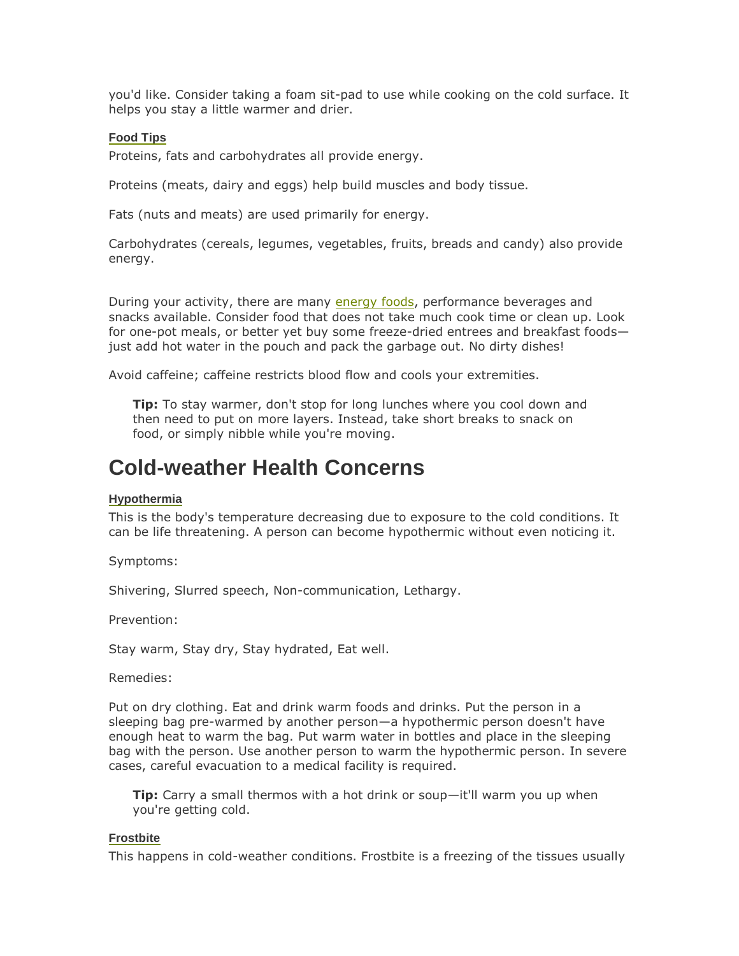you'd like. Consider taking a foam sit-pad to use while cooking on the cold surface. It helps you stay a little warmer and drier.

## **Food Tips**

Proteins, fats and carbohydrates all provide energy.

Proteins (meats, dairy and eggs) help build muscles and body tissue.

Fats (nuts and meats) are used primarily for energy.

Carbohydrates (cereals, legumes, vegetables, fruits, breads and candy) also provide energy.

During your activity, there are many **energy foods**, performance beverages and snacks available. Consider food that does not take much cook time or clean up. Look for one-pot meals, or better yet buy some freeze-dried entrees and breakfast foods just add hot water in the pouch and pack the garbage out. No dirty dishes!

Avoid caffeine; caffeine restricts blood flow and cools your extremities.

**Tip:** To stay warmer, don't stop for long lunches where you cool down and then need to put on more layers. Instead, take short breaks to snack on food, or simply nibble while you're moving.

## **Cold-weather Health Concerns**

## **Hypothermia**

This is the body's temperature decreasing due to exposure to the cold conditions. It can be life threatening. A person can become hypothermic without even noticing it.

Symptoms:

Shivering, Slurred speech, Non-communication, Lethargy.

Prevention:

Stay warm, Stay dry, Stay hydrated, Eat well.

Remedies:

Put on dry clothing. Eat and drink warm foods and drinks. Put the person in a sleeping bag pre-warmed by another person—a hypothermic person doesn't have enough heat to warm the bag. Put warm water in bottles and place in the sleeping bag with the person. Use another person to warm the hypothermic person. In severe cases, careful evacuation to a medical facility is required.

**Tip:** Carry a small thermos with a hot drink or soup—it'll warm you up when you're getting cold.

#### **Frostbite**

This happens in cold-weather conditions. Frostbite is a freezing of the tissues usually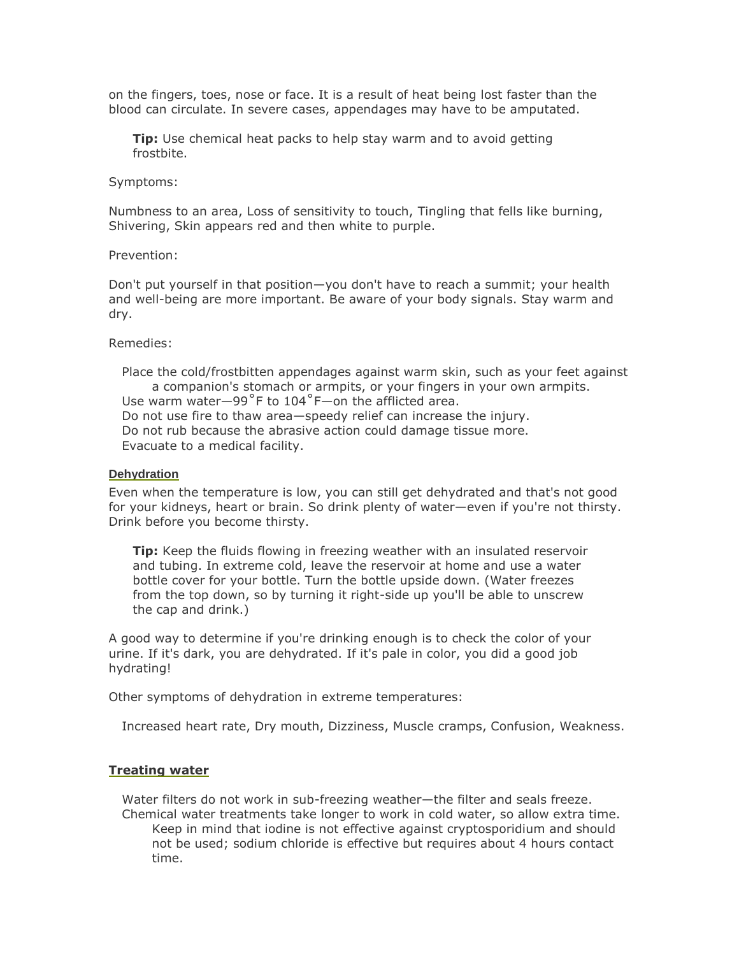on the fingers, toes, nose or face. It is a result of heat being lost faster than the blood can circulate. In severe cases, appendages may have to be amputated.

**Tip:** Use chemical heat packs to help stay warm and to avoid getting frostbite.

#### Symptoms:

Numbness to an area, Loss of sensitivity to touch, Tingling that fells like burning, Shivering, Skin appears red and then white to purple.

#### Prevention:

Don't put yourself in that position—you don't have to reach a summit; your health and well-being are more important. Be aware of your body signals. Stay warm and dry.

Remedies:

Place the cold/frostbitten appendages against warm skin, such as your feet against a companion's stomach or armpits, or your fingers in your own armpits. Use warm water—99˚F to 104˚F—on the afflicted area. Do not use fire to thaw area—speedy relief can increase the injury. Do not rub because the abrasive action could damage tissue more. Evacuate to a medical facility.

#### **Dehydration**

Even when the temperature is low, you can still get dehydrated and that's not good for your kidneys, heart or brain. So drink plenty of water—even if you're not thirsty. Drink before you become thirsty.

**Tip:** Keep the fluids flowing in freezing weather with an insulated reservoir and tubing. In extreme cold, leave the reservoir at home and use a water bottle cover for your bottle. Turn the bottle upside down. (Water freezes from the top down, so by turning it right-side up you'll be able to unscrew the cap and drink.)

A good way to determine if you're drinking enough is to check the color of your urine. If it's dark, you are dehydrated. If it's pale in color, you did a good job hydrating!

Other symptoms of dehydration in extreme temperatures:

Increased heart rate, Dry mouth, Dizziness, Muscle cramps, Confusion, Weakness.

## **Treating water**

Water filters do not work in sub-freezing weather—the filter and seals freeze. Chemical water treatments take longer to work in cold water, so allow extra time. Keep in mind that iodine is not effective against cryptosporidium and should not be used; sodium chloride is effective but requires about 4 hours contact time.